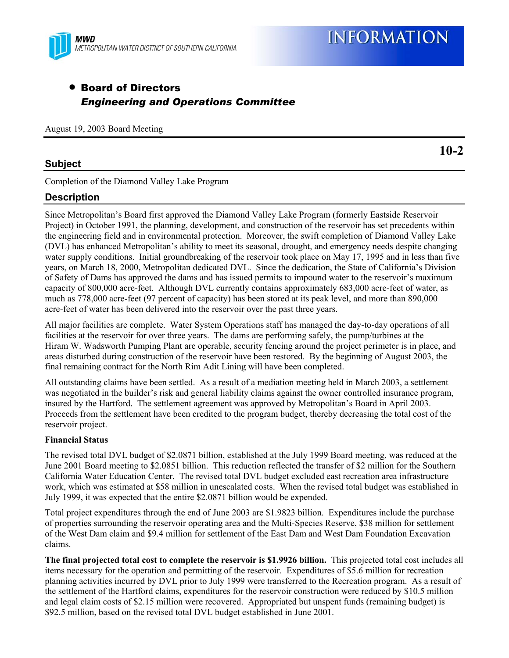

### • Board of Directors *Engineering and Operations Committee*

August 19, 2003 Board Meeting

#### **Subject**

Completion of the Diamond Valley Lake Program

#### **Description**

Since Metropolitan's Board first approved the Diamond Valley Lake Program (formerly Eastside Reservoir Project) in October 1991, the planning, development, and construction of the reservoir has set precedents within the engineering field and in environmental protection. Moreover, the swift completion of Diamond Valley Lake (DVL) has enhanced Metropolitan's ability to meet its seasonal, drought, and emergency needs despite changing water supply conditions. Initial groundbreaking of the reservoir took place on May 17, 1995 and in less than five years, on March 18, 2000, Metropolitan dedicated DVL. Since the dedication, the State of California's Division of Safety of Dams has approved the dams and has issued permits to impound water to the reservoir's maximum capacity of 800,000 acre-feet. Although DVL currently contains approximately 683,000 acre-feet of water, as much as 778,000 acre-feet (97 percent of capacity) has been stored at its peak level, and more than 890,000 acre-feet of water has been delivered into the reservoir over the past three years.

All major facilities are complete. Water System Operations staff has managed the day-to-day operations of all facilities at the reservoir for over three years. The dams are performing safely, the pump/turbines at the Hiram W. Wadsworth Pumping Plant are operable, security fencing around the project perimeter is in place, and areas disturbed during construction of the reservoir have been restored. By the beginning of August 2003, the final remaining contract for the North Rim Adit Lining will have been completed.

All outstanding claims have been settled. As a result of a mediation meeting held in March 2003, a settlement was negotiated in the builder's risk and general liability claims against the owner controlled insurance program, insured by the Hartford. The settlement agreement was approved by Metropolitan's Board in April 2003. Proceeds from the settlement have been credited to the program budget, thereby decreasing the total cost of the reservoir project.

#### **Financial Status**

The revised total DVL budget of \$2.0871 billion, established at the July 1999 Board meeting, was reduced at the June 2001 Board meeting to \$2.0851 billion. This reduction reflected the transfer of \$2 million for the Southern California Water Education Center. The revised total DVL budget excluded east recreation area infrastructure work, which was estimated at \$58 million in unescalated costs. When the revised total budget was established in July 1999, it was expected that the entire \$2.0871 billion would be expended.

Total project expenditures through the end of June 2003 are \$1.9823 billion. Expenditures include the purchase of properties surrounding the reservoir operating area and the Multi-Species Reserve, \$38 million for settlement of the West Dam claim and \$9.4 million for settlement of the East Dam and West Dam Foundation Excavation claims.

**The final projected total cost to complete the reservoir is \$1.9926 billion.** This projected total cost includes all items necessary for the operation and permitting of the reservoir. Expenditures of \$5.6 million for recreation planning activities incurred by DVL prior to July 1999 were transferred to the Recreation program. As a result of the settlement of the Hartford claims, expenditures for the reservoir construction were reduced by \$10.5 million and legal claim costs of \$2.15 million were recovered. Appropriated but unspent funds (remaining budget) is \$92.5 million, based on the revised total DVL budget established in June 2001.

**10-2**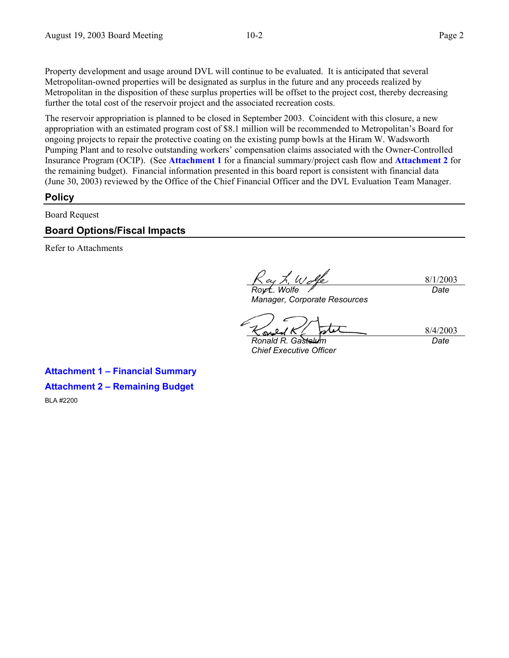Property development and usage around DVL will continue to be evaluated. It is anticipated that several Metropolitan-owned properties will be designated as surplus in the future and any proceeds realized by Metropolitan in the disposition of these surplus properties will be offset to the project cost, thereby decreasing further the total cost of the reservoir project and the associated recreation costs.

The reservoir appropriation is planned to be closed in September 2003. Coincident with this closure, a new appropriation with an estimated program cost of \$8.1 million will be recommended to Metropolitan's Board for ongoing projects to repair the protective coating on the existing pump bowls at the Hiram W. Wadsworth Pumping Plant and to resolve outstanding workers' compensation claims associated with the Owner-Controlled Insurance Program (OCIP). (See **Attachment 1** for a financial summary/project cash flow and **Attachment 2** for the remaining budget). Financial information presented in this board report is consistent with financial data (June 30, 2003) reviewed by the Office of the Chief Financial Officer and the DVL Evaluation Team Manager.

#### **Policy**

Board Request

#### **Board Options/Fiscal Impacts**

Refer to Attachments

*Roy L. Wolfe Manager, Corporate Resources* 

8/1/2003 *Date* 

8/4/2003 *Date* 

*Ronald R. Gastelum Chief Executive Officer* 

**Attachment 1 – Financial Summary Attachment 2 – Remaining Budget** 

BLA #2200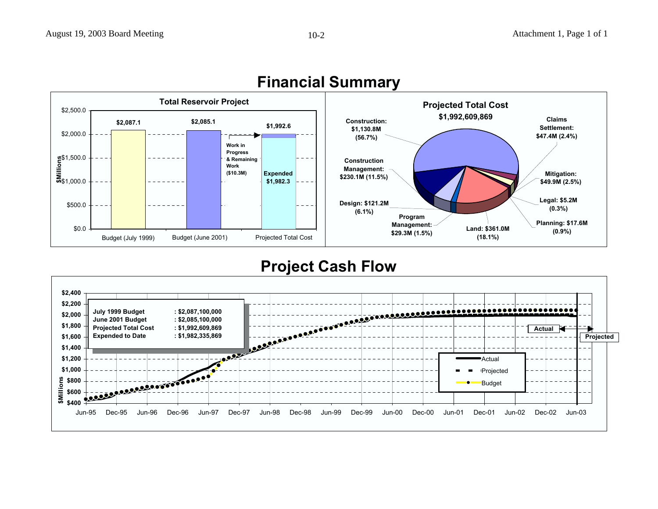

## **Financial Summary**

### **Project Cash Flow**